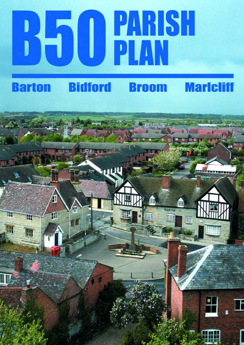# **HOUPARSH**

# **Bidford Barton**



# **Maricliff**

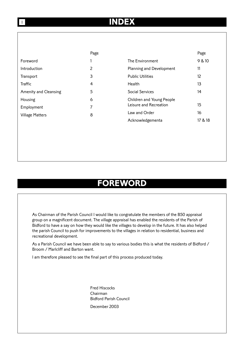# **INDEX**

|                        | Page |                           | Page    |
|------------------------|------|---------------------------|---------|
| Foreword               |      | The Environment           | 9 & 10  |
| Introduction           | 2    | Planning and Development  | 11      |
| Transport              | 3    | <b>Public Utilities</b>   | 12      |
| Traffic                | 4    | Health                    | 13      |
| Amenity and Cleansing  | 5    | Social Services           | 14      |
| Housing                | 6    | Children and Young People |         |
| Employment             | 7    | Leisure and Recreation    | 15      |
| <b>Village Matters</b> | 8    | Law and Order             | 16      |
|                        |      | Acknowledgementa          | 17 & 18 |

# **FOREWORD**

As Chairman of the Parish Council I would like to congratulate the members of the B50 appraisal group on a magnificent document. The village appraisal has enabled the residents of the Parish of Bidford to have a say on how they would like the villages to develop in the future. It has also helped the parish Council to push for improvements to the villages in relation to residential, business and recreational development.

As a Parish Council we have been able to say to various bodies this is what the residents of Bidford / Broom / Marlcliff and Barton want.

I am therefore pleased to see the final part of this process produced today.

Fred Hiscocks Chairman Bidford Parish Council December 2003

I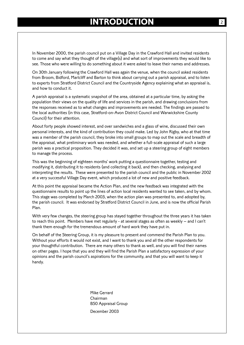In November 2000, the parish council put on a Village Day in the Crawford Hall and invited residents to come and say what they thought of the village(s) and what sort of improvements they would like to see. Those who were willing to do something about it were asked to leave their names and addresses.

On 30th January following the Crawford Hall was again the venue, when the council asked residents from Broom, Bidford, Marlcliff and Barton to think about carrying out a parish appraisal, and to listen to experts from Stratford District Council and the Countryside Agency explaining what an appraisal is, and how to conduct it.

A parish appraisal is a systematic snapshot of the area, obtained at a particular time, by asking the population their views on the quality of life and services in the parish, and drawing conclusions from the responses received as to what changes and improvements are needed. The findings are passed to the local authorities (in this case, Stratford-on-Avon District Council and Warwickshire County Council) for their attention.

About forty people showed interest, and over sandwiches and a glass of wine, discussed their own personal interests, and the kind of contribution they could make. Led by John Rigby, who at that time was a member of the parish council, they broke into small groups to map out the scale and breadth of the appraisal, what preliminary work was needed, and whether a full-scale appraisal of such a large parish was a practical proposition. They decided it was, and set up a steering group of eight members to manage the process.

This was the beginning of eighteen months' work putting a questionnaire together, testing and modifying it, distributing it to residents (and collecting it back), and then checking, analysing and interpreting the results. These were presented to the parish council and the public in November 2002 at a very successful Village Day event, which produced a lot of new and positive feedback.

At this point the appraisal became the Action Plan, and the new feedback was integrated with the questionnaire results to point up the lines of action local residents wanted to see taken, and by whom. This stage was completed by March 2003, when the action plan was presented to, and adopted by, the parish council. It was endorsed by Stratford District Council in June, and is now the official Parish Plan.

With very few changes, the steering group has stayed together throughout the three years it has taken to reach this point. Members have met regularly - at several stages as often as weekly – and I can't thank them enough for the tremendous amount of hard work they have put in.

On behalf of the Steering Group, it is my pleasure to present and commend the Parish Plan to you. Without your efforts it would not exist, and I want to thank you and all the other respondents for your thoughtful contribution. There are many others to thank as well, and you will find their names on other pages. I hope that you and they will find the Parish Plan a satisfactory expression of your opinions and the parish council's aspirations for the community, and that you will want to keep it handy.

> Mike Gerrard Chairman B50 Appraisal Group December 2003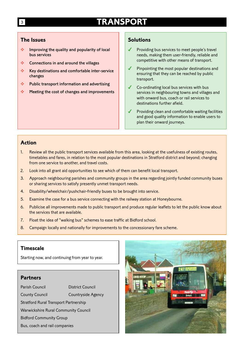# **TRANSPORT**

## **The Issues**

- ❖ Improving the quality and popularity of local bus services
- ❖ Connections in and around the villages
- ❖ Key destinations and comfortable inter-service changes
- ❖ Public transport information and advertising
- Meeting the cost of changes and improvements

## **Solutions**

- Providing bus services to meet people's travel needs, making them user-friendly, reliable and competitive with other means of transport.
- Pinpointing the most popular destinations and ensuring that they can be reached by public transport.
- Co-ordinating local bus services with bus services in neighbouring towns and villages and with onward bus, coach or rail services to destinations further afield.
- Providing clean and comfortable waiting facilities and good quality information to enable users to plan their onward journeys.

# **Action**

- 1. Review all the public transport services available from this area, looking at the usefulness of existing routes, timetables and fares, in relation to the most popular destinations in Stratford district and beyond; changing from one service to another, and travel costs.
- 2. Look into all grant aid opportunities to see which of them can benefit local transport.
- 3. Approach neighbouring parishes and community groups in the area regarding jointly funded community buses or sharing services to satisfy presently unmet transport needs.
- 4. Disability/wheelchair/pushchair-friendly buses to be brought into service.
- 5. Examine the case for a bus service connecting with the railway station at Honeybourne.
- 6. Publicise all improvements made to public transport and produce regular leaflets to let the public know about the services that are available.
- 7. Float the idea of "walking bus" schemes to ease traffic at Bidford school.
- 8. Campaign locally and nationally for improvements to the concessionary fare scheme.

#### **Timescale**

Starting now, and continuing from year to year.

## **Partners**

Parish Council **District Council** County Council Countryside Agency Stratford Rural Transport Partnership Warwickshire Rural Community Council Bidford Community Group Bus, coach and rail companies

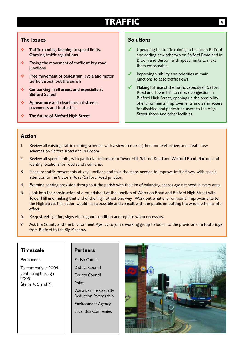# **TRAFFIC**

#### **The Issues**

- ❖ Traffic calming. Keeping to speed limits. Obeying traffic regulations
- ❖ Easing the movement of traffic at key road junctions
- ❖ Free movement of pedestrian, cycle and motor traffic throughout the parish
- ❖ Car parking in all areas, and especially at Bidford School
- ❖ Appearance and cleanliness of streets, pavements and footpaths.
- ❖ The future of Bidford High Street

# **Solutions**

- Upgrading the traffic calming schemes in Bidford and adding new schemes on Salford Road and in Broom and Barton, with speed limits to make them enforceable.
- Improving visibility and priorities at main junctions to ease traffic flows.
- Making full use of the traffic capacity of Salford Road and Tower Hill to relieve congestion in Bidford High Street, opening up the possibility of environmental improvements and safer access for disabled and pedestrian users to the High Street shops and other facilities.

## **Action**

- 1. Review all existing traffic calming schemes with a view to making them more effective; and create new schemes on Salford Road and in Broom.
- 2. Review all speed limits, with particular reference to Tower Hill, Salford Road and Welford Road, Barton, and identify locations for road safety cameras.
- 3. Measure traffic movements at key junctions and take the steps needed to improve traffic flows, with special attention to the Victoria Road/Salford Road junction.
- 4. Examine parking provision throughout the parish with the aim of balancing spaces against need in every area.
- 5. Look into the construction of a roundabout at the junction of Waterloo Road and Bidford High Street with Tower Hill and making that end of the High Street one way. Work out what environmental improvements to the High Street this action would make possible and consult with the public on putting the whole scheme into effect.
- 6. Keep street lighting, signs etc. in good condition and replace when necessary.
- 7. Ask the County and the Environment Agency to join a working group to look into the provision of a footbridge from Bidford to the Big Meadow.

# **Timescale**

Permanent.

To start early in 2004, continuing through 2005 (items 4, 5 and 7).

## **Partners**

Parish Council District Council County Council Police Warwickshire Casualty Reduction Partnership Environment Agency Local Bus Companies

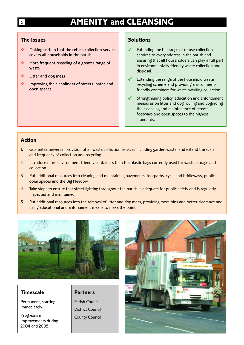# **AMENITY and CLEANSING**

#### **The Issues**

- ❖ Making certain that the refuse collection service covers all households in the parish
- ❖ More frequent recycling of a greater range of waste
- ❖ Litter and dog mess
- ❖ Improving the cleanliness of streets, paths and open spaces

#### **Solutions**

- Extending the full range of refuse collection services to every address in the parish and ensuring that all householders can play a full part in environmentally friendly waste collection and disposal.
- Extending the range of the household waste recycling scheme and providing environmentfriendly containers for waste awaiting collection.
- ✔ Strengthening policy, education and enforcement measures on litter and dog fouling and upgrading the cleansing and maintenance of streets, footways and open spaces to the highest standards.

# **Action**

- 1. Guarantee universal provision of all waste collection services including garden waste, and extend the scale and frequency of collection and recycling.
- 2. Introduce more environment-friendly containers than the plastic bags currently used for waste storage and collection
- 3. Put additional resources into cleaning and maintaining pavements, footpaths, cycle and bridleways, public open spaces and the Big Meadow.
- 4. Take steps to ensure that street lighting throughout the parish is adequate for public safety and is regularly inspected and maintained.
- 5. Put additional resources into the removal of litter and dog mess, providing more bins and better clearance and using educational and enforcement means to make the point.



# **Timescale**

Permanent, starting immediately.

Progressive improvements during 2004 and 2005.

## **Partners**

Parish Council District Council County Council

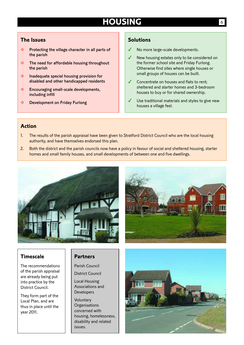# **HOUSING**

#### **The Issues**

- ❖ Protecting the village character in all parts of the parish
- ❖ The need for affordable housing throughout the parish
- ❖ Inadequate special housing provision for disabled and other handicapped residents
- ❖ Encouraging small-scale developments, including infill
- ❖ Development on Friday Furlong

# **Solutions**

- ◆ No more large-scale developments.
- ◆ New housing estates only to be considered on the former school site and Friday Furlong. Otherwise find sites where single houses or small groups of houses can be built.
- Concentrate on houses and flats to rent: sheltered and starter homes and 3-bedroom houses to buy or for shared ownership.
- ◆ Use traditional materials and styles to give new houses a village feel.

#### **Action**

- 1. The results of the parish appraisal have been given to Stratford District Council who are the local housing authority, and have themselves endorsed this plan.
- 2. Both the district and the parish councils now have a policy in favour of social and sheltered housing, starter homes and small family houses, and small developments of between one and five dwellings.





#### **Timescale**

The recommendations of the parish appraisal are already being put into practice by the District Council.

They form part of the Local Plan, and are thus in place until the year 2011.

## **Partners**

Parish Council

District Council

Local Housing Associations and Developers

Voluntary **Organisations** concerned with housing, homelessness, disability and related issues.

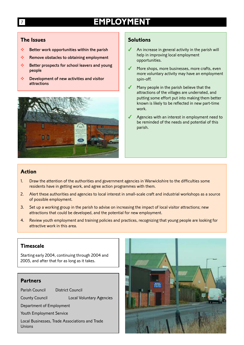# **EMPLOYMENT**

#### **The Issues**

- ❖ Better work opportunities within the parish
- ❖ Remove obstacles to obtaining employment
- ❖ Better prospects for school leavers and young people
- ❖ Development of new activities and visitor attractions



# **Solutions**

- An increase in general activity in the parish will help in improving local employment opportunities.
- More shops, more businesses, more crafts, even more voluntary activity may have an employment spin-off.
- ◆ Many people in the parish believe that the attractions of the villages are underrated, and putting some effort put into making them better known is likely to be reflected in new part-time work.
- Agencies with an interest in employment need to be reminded of the needs and potential of this parish.

# **Action**

- 1. Draw the attention of the authorities and government agencies in Warwickshire to the difficulties some residents have in getting work, and agree action programmes with them.
- 2. Alert these authorities and agencies to local interest in small-scale craft and industrial workshops as a source of possible employment.
- 3. Set up a working group in the parish to advise on increasing the impact of local visitor attractions; new attractions that could be developed, and the potential for new employment.
- 4. Review youth employment and training policies and practices, recognizing that young people are looking for attractive work in this area.

# **Timescale**

Starting early 2004, continuing through 2004 and 2005, and after that for as long as it takes.

## **Partners**

Parish Council District Council

County Council Local Voluntary Agencies

Department of Employment

Youth Employment Service

Local Businesses, Trade Associations and Trade Unions

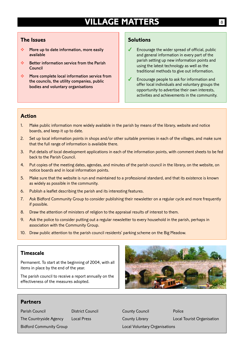# **VILLAGE MATTERS**

## **The Issues**

- More up to date information, more easily available
- ❖ Better information service from the Parish Council
- ❖ More complete local information service from the councils, the utility companies, public bodies and voluntary organisations

## **Solutions**

- Encourage the wider spread of official, public and general information in every part of the parish setting up new information points and using the latest technology as well as the traditional methods to give out information.
- Encourage people to ask for information and offer local individuals and voluntary groups the opportunity to advertise their own interests, activities and achievements in the community.

# **Action**

- 1. Make public information more widely available in the parish by means of the library, website and notice boards, and keep it up to date.
- 2. Set up local information points in shops and/or other suitable premises in each of the villages, and make sure that the full range of information is available there.
- 3. Put details of local development applications in each of the information points, with comment sheets to be fed back to the Parish Council.
- 4. Put copies of the meeting dates, agendas, and minutes of the parish council in the library, on the website, on notice boards and in local information points.
- 5. Make sure that the website is run and maintained to a professional standard, and that its existence is known as widely as possible in the community.
- 6. Publish a leaflet describing the parish and its interesting features.
- 7. Ask Bidford Community Group to consider publishing their newsletter on a regular cycle and more frequently if possible.
- 8. Draw the attention of ministers of religion to the appraisal results of interest to them.
- 9. Ask the police to consider putting out a regular newsletter to every household in the parish, perhaps in association with the Community Group.
- 10. Draw public attention to the parish council residents' parking scheme on the Big Meadow.

## **Timescale**

Permanent. To start at the beginning of 2004, with all items in place by the end of the year.

The parish council to receive a report annually on the effectiveness of the measures adopted.



## **Partners**

Parish Council **District Council Council** County Council Police The Countryside Agency Local Press County Library Local Tourist Organisation Bidford Community Group **Local Voluntary Organisations**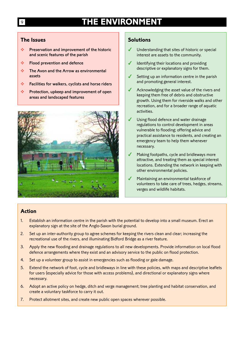# **THE ENVIRONMENT**

#### **The Issues**

- Preservation and improvement of the historic and scenic features of the parish
- ❖ Flood prevention and defence
- ❖ The Avon and the Arrow as environmental assets
- ❖ Facilities for walkers, cyclists and horse riders
- ❖ Protection, upkeep and improvement of open areas and landscaped features



## **Solutions**

- Understanding that sites of historic or special interest are assets to the community.
- ✔ Identifying their locations and providing descriptive or explanatory signs for them.
- $\blacklozenge$  Setting up an information centre in the parish and promoting general interest.
- ◆ Acknowledging the asset value of the rivers and keeping them free of debris and obstructive growth. Using them for riverside walks and other recreation, and for a broader range of aquatic activities.
- Using flood defence and water drainage regulations to control development in areas vulnerable to flooding; offering advice and practical assistance to residents, and creating an emergency team to help them whenever necessary.
- Making footpaths, cycle and bridleways more attractive, and treating them as special interest locations. Extending the network in keeping with other environmental policies.
- Maintaining an environmental taskforce of volunteers to take care of trees, hedges, streams, verges and wildlife habitats.

# **Action**

- 1. Establish an information centre in the parish with the potential to develop into a small museum. Erect an explanatory sign at the site of the Anglo-Saxon burial ground.
- 2. Set up an inter-authority group to agree schemes for keeping the rivers clean and clear; increasing the recreational use of the rivers, and illuminating Bidford Bridge as a river feature.
- 3. Apply the new flooding and drainage regulations to all new developments. Provide information on local flood defence arrangements where they exist and an advisory service to the public on flood protection.
- 4. Set up a volunteer group to assist in emergencies such as flooding or gale damage.
- 5. Extend the network of foot, cycle and bridleways in line with these policies, with maps and descriptive leaflets for users (especially advice for those with access problems), and directional or explanatory signs where necessary.
- 6. Adopt an active policy on hedge, ditch and verge management; tree planting and habitat conservation, and create a voluntary taskforce to carry it out.
- 7. Protect allotment sites, and create new public open spaces wherever possible.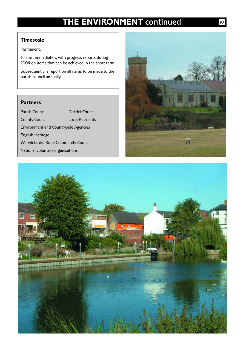# **THE ENVIRONMENT** continued

# **Timescale**

Permanent.

To start immediately, with progress reports during 2004 on items that can be achieved in the short term.

Subsequently, a report on all items to be made to the parish council annually.

# **Partners**

Parish Council **District Council** County Council Local Residents Environment and Countryside Agencies English Heritage Warwickshire Rural Community Council National voluntary organisations



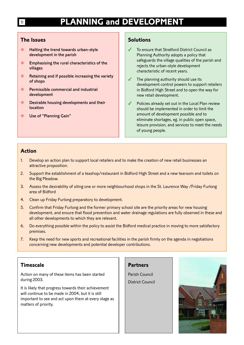# **PLANNING and DEVELOPMENT**

## **The Issues**

- ❖ Halting the trend towards urban-style development in the parish
- ❖ Emphasising the rural characteristics of the villages
- ❖ Retaining and if possible increasing the variety of shops
- ❖ Permissible commercial and industrial development
- ❖ Desirable housing developments and their location
- ❖ Use of "Planning Gain"

# **Solutions**

- ✔ To ensure that Stratford District Council as Planning Authority adopts a policy that safeguards the village qualities of the parish and rejects the urban-style development characteristic of recent years.
- The planning authority should use its development control powers to support retailers in Bidford High Street and to open the way for new retail development.
- Policies already set out in the Local Plan review should be implemented in order to limit the amount of development possible and to eliminate shortages, eg. in public open space, leisure provision, and services to meet the needs of young people.

# **Action**

- 1. Develop an action plan to support local retailers and to make the creation of new retail businesses an attractive proposition.
- 2. Support the establishment of a teashop/restaurant in Bidford High Street and a new tearoom and toilets on the Big Meadow.
- 3. Assess the desirability of siting one or more neighbourhood shops in the St. Laurence Way /Friday Furlong area of Bidford
- 4. Clean up Friday Furlong preparatory to development.
- 5. Confirm that Friday Furlong and the former primary school site are the priority areas for new housing development, and ensure that flood prevention and water drainage regulations are fully observed in these and all other developments to which they are relevant.
- 6. Do everything possible within the policy to assist the Bidford medical practice in moving to more satisfactory premises.
- 7. Keep the need for new sports and recreational facilities in the parish firmly on the agenda in negotiations concerning new developments and potential developer contributions.

# **Timescale**

Action on many of these items has been started during 2003.

It is likely that progress towards their achievement will continue to be made in 2004, but it is still important to see and act upon them at every stage as matters of priority.

#### **Partners**

Parish Council District Council

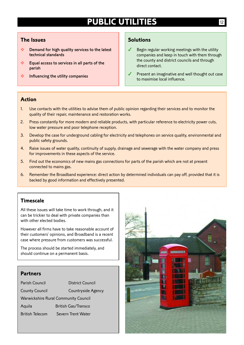# **PUBLIC UTILITIES**

#### **The Issues**

- ❖ Demand for high quality services to the latest technical standards
- ❖ Equal access to services in all parts of the parish
- ❖ Influencing the utility companies

# **Solutions**

- Begin regular working meetings with the utility companies and keep in touch with them through the county and district councils and through direct contact.
- Present an imaginative and well thought out case to maximise local influence.

# **Action**

- 1. Use contacts with the utilities to advise them of public opinion regarding their services and to monitor the quality of their repair, maintenance and restoration works.
- 2. Press constantly for more modern and reliable products, with particular reference to electricity power cuts, low water pressure and poor telephone reception.
- 3. Develop the case for underground cabling for electricity and telephones on service quality, environmental and public safety grounds.
- 4. Raise issues of water quality, continuity of supply, drainage and sewerage with the water company and press for improvements in these aspects of the service.
- 5. Find out the economics of new mains gas connections for parts of the parish which are not at present connected to mains gas.
- 6. Remember the Broadband experience: direct action by determined individuals can pay off, provided that it is backed by good information and effectively presented.

# **Timescale**

All these issues will take time to work through, and it can be trickier to deal with private companies than with other elected bodies.

However all firms have to take reasonable account of their customers' opinions, and Broadband is a recent case where pressure from customers was successful.

The process should be started immediately, and should continue on a permanent basis.

#### **Partners**

| Parish Council                              | <b>District Council</b>    |  |  |
|---------------------------------------------|----------------------------|--|--|
| <b>County Council</b>                       | Countryside Agency         |  |  |
| <b>Warwickshire Rural Community Council</b> |                            |  |  |
| Aquila                                      | <b>British Gas/Transco</b> |  |  |
| <b>British Telecom</b>                      | Severn Trent Water         |  |  |

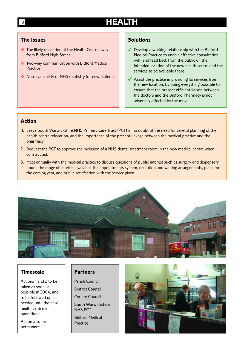# **HEALTH**

## **The Issues**

- ❖ The likely relocation of the Health Centre away from Bidford High Street
- ❖ Two-way communication with Bidford Medical Practice
- ❖ Non-availability of NHS dentistry for new patients

## **Solutions**

- ◆ Develop a working relationship with the Bidford Medical Practice to enable effective consultation with and feed back from the public on the intended location of the new health centre and the services to be available there.
- $\triangleleft$  Assist the practice in providing its services from the new location, by doing everything possible to ensure that the present efficient liaison between the doctors and the Bidford Pharmacy is not adversely affected by the move.

# **Action**

- 1. Leave South Warwickshire NHS Primary Care Trust (PCT) in no doubt of the need for careful planning of the health centre relocation, and the importance of the present linkage between the medical practice and the pharmacy.
- 2. Request the PCT to approve the inclusion of a NHS dental treatment room in the new medical centre when constructed.
- 3. Meet annually with the medical practice to discuss questions of public interest such as surgery and dispensary hours, the range of services available, the appointments system, reception and waiting arrangements, plans for the coming year, and public satisfaction with the service given.



# **Timescale**

Actions 1 and 2 to be taken as soon as possible in 2004, and to be followed up as needed until the new health centre is operational.

Action 3 to be permanent.

# **Partners**

Parish Council District Council County Council

South Warwickshire NHS PCT

Bidford Medical Practice

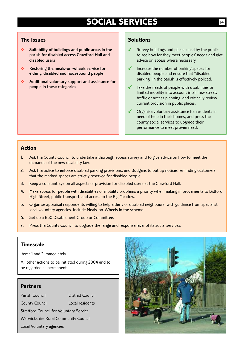# **SOCIAL SERVICES**

#### **The Issues**

- Suitability of buildings and public areas in the parish for disabled access Crawford Hall and disabled users
- ❖ Restoring the meals-on-wheels service for elderly, disabled and housebound people
- ❖ Additional voluntary support and assistance for people in these categories

## **Solutions**

- Survey buildings and places used by the public to see how far they meet peoples' needs and give advice on access where necessary.
- ✔ Increase the number of parking spaces for disabled people and ensure that "disabled parking" in the parish is effectively policed.
- Take the needs of people with disabilities or limited mobility into account in all new street, traffic or access planning, and critically review current provision in public places.
- Organise voluntary assistance for residents in need of help in their homes, and press the county social services to upgrade their performance to meet proven need.

# **Action**

- 1. Ask the County Council to undertake a thorough access survey and to give advice on how to meet the demands of the new disability law.
- 2. Ask the police to enforce disabled parking provisions, and Budgens to put up notices reminding customers that the marked spaces are strictly reserved for disabled people.
- 3. Keep a constant eye on all aspects of provision for disabled users at the Crawford Hall.
- 4. Make access for people with disabilities or mobility problems a priority when making improvements to Bidford High Street, public transport, and access to the Big Meadow.
- 5. Organise appraisal respondents willing to help elderly or disabled neighbours, with guidance from specialist local voluntary agencies. Include Meals-on-Wheels in the scheme.
- 6. Set up a B50 Disablement Group or Committee.
- 7. Press the County Council to upgrade the range and response level of its social services.

# **Timescale**

Items 1 and 2 immediately.

All other actions to be initiated during 2004 and to be regarded as permanent.

# **Partners**

Parish Council District Council County Council Local residents Stratford Council for Voluntary Service Warwickshire Rural Community Council Local Voluntary agencies

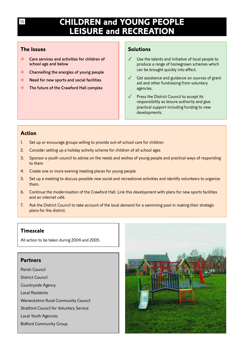# **CHILDREN and YOUNG PEOPLE LEISURE and RECREATION**

# **The Issues**

- ❖ Care services and activities for children of school age and below
- ❖ Channelling the energies of young people
- ❖ Need for new sports and social facilities
- ❖ The future of the Crawford Hall complex

# **Solutions**

- Use the talents and initiative of local people to produce a range of homegrown schemes which can be brought quickly into effect.
- Get assistance and guidance on sources of grant aid and other fundraising from voluntary agencies.
- Press the District Council to accept its responsibility as leisure authority and give practical support including funding to new developments.

## **Action**

- 1. Set up or encourage groups willing to provide out-of-school care for children
- 2. Consider setting up a holiday activity scheme for children of all school ages
- 3. Sponsor a youth council to advise on the needs and wishes of young people and practical ways of responding to them
- 4. Create one or more evening meeting places for young people
- 5. Set up a meeting to discuss possible new social and recreational activities and identify volunteers to organize them.
- 6. Continue the modernisation of the Crawford Hall. Link this development with plans for new sports facilities and an internet café.
- 7. Ask the District Council to take account of the local demand for a swimming pool in making their strategic plans for the district.

# **Timescale**

All action to be taken during 2004 and 2005.

## **Partners**

Parish Council

District Council

Countryside Agency

Local Residents

Warwickshire Rural Community Council

Stratford Council for Voluntary Service

Local Youth Agencies

Bidford Community Group

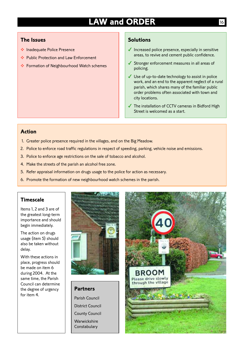# **LAW and ORDER**

#### **The Issues**

- ❖ Inadequate Police Presence
- ❖ Public Protection and Law Enforcement
- ❖ Formation of Neighbourhood Watch schemes

## **Solutions**

- $\blacklozenge$  Increased police presence, especially in sensitive areas, to revive and cement public confidence.
- ◆ Stronger enforcement measures in all areas of policing.
- ◆ Use of up-to-date technology to assist in police work, and an end to the apparent neglect of a rural parish, which shares many of the familiar public order problems often associated with town and city locations.
- ◆ The installation of CCTV cameras in Bidford High Street is welcomed as a start.

#### **Action**

- 1. Greater police presence required in the villages, and on the Big Meadow.
- 2. Police to enforce road traffic regulations in respect of speeding, parking, vehicle noise and emissions.
- 3. Police to enforce age restrictions on the sale of tobacco and alcohol.
- 4. Make the streets of the parish an alcohol free zone.
- 5. Refer appraisal information on drugs usage to the police for action as necessary.
- 6. Promote the formation of new neighbourhood watch schemes in the parish.

# **Timescale**

Items 1, 2 and 3 are of the greatest long-term importance and should begin immediately.

The action on drugs usage (item 5) should also be taken without delay.

With these actions in place, progress should be made on item 6 during 2004. At the same time, the Parish Council can determine the degree of urgency for item 4.



#### **Partners**

Parish Council District Council County Council

Warwickshire **Constabulary** 

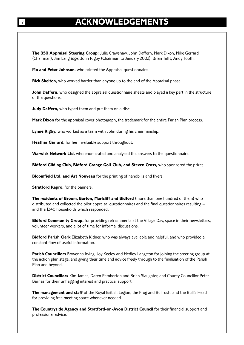**The B50 Appraisal Steering Group:** Julie Crawshaw, John Daffern, Mark Dixon, Mike Gerrard (Chairman), Jim Langridge, John Rigby (Chairman to January 2002), Brian Tafft, Andy Tooth.

**Mo and Peter Johnson,** who printed the Appraisal questionnaire.

**Rick Shelton,** who worked harder than anyone up to the end of the Appraisal phase.

**John Daffern,** who designed the appraisal questionnaire sheets and played a key part in the structure of the questions.

**Judy Daffern,** who typed them and put them on a disc.

**Mark Dixon** for the appraisal cover photograph, the trademark for the entire Parish Plan process.

**Lynne Rigby,** who worked as a team with John during his chairmanship.

**Heather Gerrard,** for her invaluable support throughout.

**Warwick Network Ltd.** who enumerated and analysed the answers to the questionnaire.

**Bidford Gliding Club, Bidford Grange Golf Club, and Steven Cross,** who sponsored the prizes.

**Bloomfield Ltd. and Art Nouveau** for the printing of handbills and flyers.

**Stratford Repro, for the banners.** 

**The residents of Broom, Barton, Marlcliff and Bidford** (more than one hundred of them) who distributed and collected the pilot appraisal questionnaires and the final questionnaires resulting – and the 1340 households which responded.

**Bidford Community Group,** for providing refreshments at the Village Day, space in their newsletters, volunteer workers, and a lot of time for informal discussions.

**Bidford Parish Clerk** Elizabeth Kidner, who was always available and helpful, and who provided a constant flow of useful information.

**Parish Councillors** Rowenna Irving, Joy Keeley and Hedley Langston for joining the steering group at the action plan stage, and giving their time and advice freely through to the finalisation of the Parish Plan and beyond.

**District Councillors** Kim James, Daren Pemberton and Brian Slaughter, and County Councillor Peter Barnes for their unflagging interest and practical support.

**The management and staff** of the Royal British Legion, the Frog and Bullrush, and the Bull's Head for providing free meeting space whenever needed.

**The Countryside Agency and Stratford-on-Avon District Council** for their financial support and professional advice.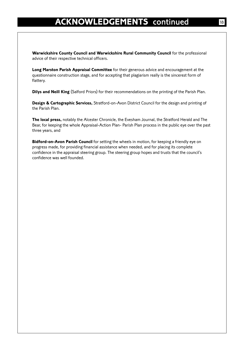**Warwickshire County Council and Warwickshire Rural Community Council** for the professional advice of their respective technical officers.

**Long Marston Parish Appraisal Committee** for their generous advice and encouragement at the questionnaire construction stage, and for accepting that plagiarism really is the sincerest form of flattery.

**Dilys and Neill King** (Salford Priors) for their recommendations on the printing of the Parish Plan.

**Design & Cartographic Services,** Stratford-on-Avon District Council for the design and printing of the Parish Plan.

**The local press,** notably the Alcester Chronicle, the Evesham Journal, the Stratford Herald and The Bear, for keeping the whole Appraisal-Action Plan- Parish Plan process in the public eye over the past three years, and

**Bidford-on-Avon Parish Council** for setting the wheels in motion, for keeping a friendly eye on progress made, for providing financial assistance when needed, and for placing its complete confidence in the appraisal steering group. The steering group hopes and trusts that the council's confidence was well founded.